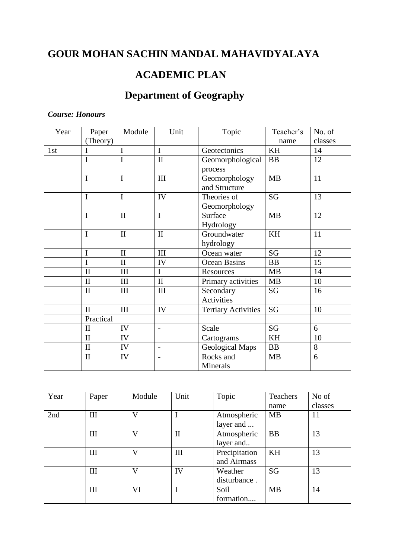## **GOUR MOHAN SACHIN MANDAL MAHAVIDYALAYA**

### **ACADEMIC PLAN**

# **Department of Geography**

#### *Course: Honours*

| Year | Paper          | Module       | Unit                             | Topic                      | Teacher's | No. of  |
|------|----------------|--------------|----------------------------------|----------------------------|-----------|---------|
|      | (Theory)       |              |                                  |                            | name      | classes |
| 1st  | I              | I            | $\mathbf I$                      | Geotectonics               | KH        | 14      |
|      | I              | I            | $\mathbf{I}$                     | Geomorphological           | <b>BB</b> | 12      |
|      |                |              |                                  | process                    |           |         |
|      | I              | $\mathbf I$  | III                              | Geomorphology              | MB        | 11      |
|      |                |              |                                  | and Structure              |           |         |
|      | $\mathbf I$    | $\mathbf I$  | IV                               | Theories of                | <b>SG</b> | 13      |
|      |                |              |                                  | Geomorphology              |           |         |
|      | I              | $\mathbf{I}$ | $\mathbf I$                      | Surface                    | <b>MB</b> | 12      |
|      |                |              |                                  | Hydrology                  |           |         |
|      | $\mathbf I$    | $\rm II$     | $\mathbf{I}$                     | Groundwater                | KH        | 11      |
|      |                |              |                                  | hydrology                  |           |         |
|      | $\overline{I}$ | $\mathbf{I}$ | $\mathop{\mathrm{III}}\nolimits$ | Ocean water                | <b>SG</b> | 12      |
|      | I              | $\rm II$     | IV                               | Ocean Basins               | BB        | 15      |
|      | $\mathbf{I}$   | III          | $\mathbf I$                      | Resources                  | <b>MB</b> | 14      |
|      | $\mathbf{I}$   | III          | $\mathbf{I}$                     | Primary activities         | MB        | 10      |
|      | $\mathbf{I}$   | III          | III                              | Secondary                  | SG        | 16      |
|      |                |              |                                  | <b>Activities</b>          |           |         |
|      | $\mathbf{I}$   | III          | IV                               | <b>Tertiary Activities</b> | SG        | 10      |
|      | Practical      |              |                                  |                            |           |         |
|      | $\mathbf{I}$   | IV           | $\overline{\phantom{a}}$         | Scale                      | SG        | 6       |
|      | $\mathbf{I}$   | IV           |                                  | Cartograms                 | KH        | 10      |
|      | $\mathbf{I}$   | IV           | $\overline{a}$                   | <b>Geological Maps</b>     | BB        | 8       |
|      | $\mathbf{I}$   | IV           | $\blacksquare$                   | Rocks and                  | <b>MB</b> | 6       |
|      |                |              |                                  | Minerals                   |           |         |

| Year | Paper | Module | Unit         | Topic         | Teachers  | No of   |
|------|-------|--------|--------------|---------------|-----------|---------|
|      |       |        |              |               | name      | classes |
| 2nd  | Ш     | V      |              | Atmospheric   | <b>MB</b> | 11      |
|      |       |        |              | layer and     |           |         |
|      | Ш     | V      | $\mathbf{I}$ | Atmospheric   | <b>BB</b> | 13      |
|      |       |        |              | layer and     |           |         |
|      | Ш     | V      | III          | Precipitation | KH        | 13      |
|      |       |        |              | and Airmass   |           |         |
|      | Ш     | V      | IV           | Weather       | <b>SG</b> | 13      |
|      |       |        |              | disturbance.  |           |         |
|      | Ш     | VI     |              | Soil          | <b>MB</b> | 14      |
|      |       |        |              | formation     |           |         |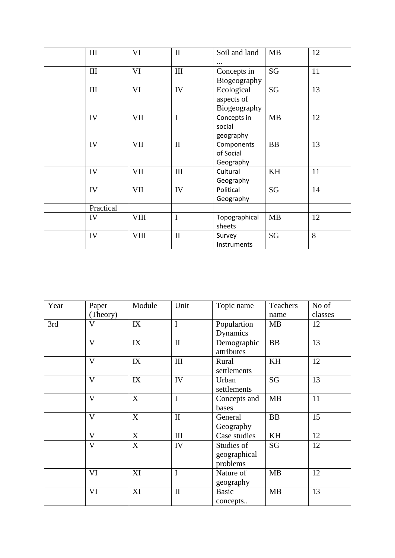| $\rm III$ | VI          | $\mathbf{I}$ | Soil and land | <b>MB</b> | 12 |
|-----------|-------------|--------------|---------------|-----------|----|
|           |             |              |               |           |    |
| III       | VI          | III          | Concepts in   | SG        | 11 |
|           |             |              | Biogeography  |           |    |
| $\rm III$ | VI          | IV           | Ecological    | SG        | 13 |
|           |             |              | aspects of    |           |    |
|           |             |              | Biogeography  |           |    |
| IV        | VII         | $\mathbf I$  | Concepts in   | <b>MB</b> | 12 |
|           |             |              | social        |           |    |
|           |             |              | geography     |           |    |
| IV        | <b>VII</b>  | $\rm II$     | Components    | <b>BB</b> | 13 |
|           |             |              | of Social     |           |    |
|           |             |              | Geography     |           |    |
| IV        | <b>VII</b>  | III          | Cultural      | KH        | 11 |
|           |             |              | Geography     |           |    |
| IV        | <b>VII</b>  | IV           | Political     | SG        | 14 |
|           |             |              | Geography     |           |    |
| Practical |             |              |               |           |    |
| IV        | <b>VIII</b> | $\mathbf I$  | Topographical | <b>MB</b> | 12 |
|           |             |              | sheets        |           |    |
| IV        | <b>VIII</b> | $\mathbf{I}$ | Survey        | <b>SG</b> | 8  |
|           |             |              | Instruments   |           |    |

| Year | Paper                   | Module | Unit         | Topic name   | Teachers  | No of   |
|------|-------------------------|--------|--------------|--------------|-----------|---------|
|      | (Theory)                |        |              |              | name      | classes |
| 3rd  | $\mathbf{V}$            | IX     | $\mathbf I$  | Populartion  | <b>MB</b> | 12      |
|      |                         |        |              | Dynamics     |           |         |
|      | $\mathbf{V}$            | IX     | $\mathbf{I}$ | Demographic  | <b>BB</b> | 13      |
|      |                         |        |              | attributes   |           |         |
|      | $\mathbf{V}$            | IX     | III          | Rural        | KH        | 12      |
|      |                         |        |              | settlements  |           |         |
|      | $\overline{\mathbf{V}}$ | IX     | IV           | Urban        | SG        | 13      |
|      |                         |        |              | settlements  |           |         |
|      | $\mathbf{V}$            | X      | $\mathbf I$  | Concepts and | <b>MB</b> | 11      |
|      |                         |        |              | bases        |           |         |
|      | $\mathbf{V}$            | X      | $\mathbf{I}$ | General      | <b>BB</b> | 15      |
|      |                         |        |              | Geography    |           |         |
|      | $\mathbf{V}$            | X      | $\rm III$    | Case studies | KH        | 12      |
|      | $\overline{\mathsf{V}}$ | X      | IV           | Studies of   | SG        | 12      |
|      |                         |        |              | geographical |           |         |
|      |                         |        |              | problems     |           |         |
|      | VI                      | XI     | $\mathbf I$  | Nature of    | <b>MB</b> | 12      |
|      |                         |        |              | geography    |           |         |
|      | VI                      | XI     | $\mathbf{I}$ | <b>Basic</b> | <b>MB</b> | 13      |
|      |                         |        |              | concepts     |           |         |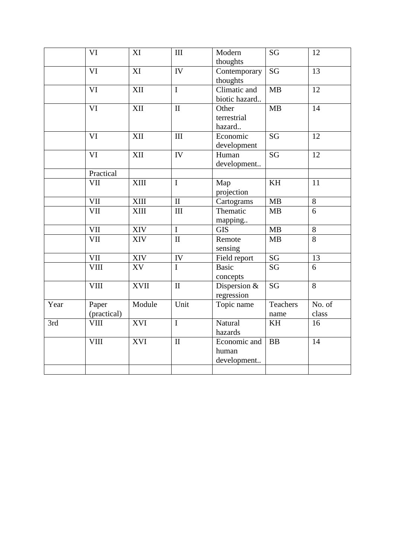|      | VI                     | XI          | III                | Modern         | SG                     | 12              |
|------|------------------------|-------------|--------------------|----------------|------------------------|-----------------|
|      |                        |             |                    | thoughts       |                        |                 |
|      | VI                     | XI          | IV                 | Contemporary   | $\overline{\text{SG}}$ | $\overline{13}$ |
|      |                        |             |                    | thoughts       |                        |                 |
|      | $\overline{\text{VI}}$ | XII         | $\mathbf I$        | Climatic and   | MB                     | $\overline{12}$ |
|      |                        |             |                    | biotic hazard  |                        |                 |
|      | VI                     | XII         | $\rm II$           | Other          | MB                     | 14              |
|      |                        |             |                    | terrestrial    |                        |                 |
|      |                        |             |                    | hazard         |                        |                 |
|      | VI                     | XII         | $\mathop{\rm III}$ | Economic       | <b>SG</b>              | 12              |
|      |                        |             |                    | development    |                        |                 |
|      | VI                     | XII         | IV                 | Human          | <b>SG</b>              | 12              |
|      |                        |             |                    | development    |                        |                 |
|      | Practical              |             |                    |                |                        |                 |
|      | VII                    | <b>XIII</b> | $\mathbf I$        | Map            | KH                     | 11              |
|      |                        |             |                    | projection     |                        |                 |
|      | VII                    | <b>XIII</b> | $\rm II$           | Cartograms     | MB                     | $8\,$           |
|      | VII                    | <b>XIII</b> | III                | Thematic       | MB                     | 6               |
|      |                        |             |                    | mapping        |                        |                 |
|      | VII                    | XIV         | $\mathbf I$        | <b>GIS</b>     | MB                     | $\overline{8}$  |
|      | VII                    | XIV         | $\rm II$           | Remote         | MB                     | $\overline{8}$  |
|      |                        |             |                    | sensing        |                        |                 |
|      | VII                    | XIV         | ${\rm IV}$         | Field report   | SG                     | 13              |
|      | <b>VIII</b>            | XV          | $\overline{I}$     | <b>Basic</b>   | <b>SG</b>              | 6               |
|      |                        |             |                    | concepts       |                        |                 |
|      | <b>VIII</b>            | <b>XVII</b> | $\mathbf{I}$       | Dispersion $&$ | $\overline{\text{SG}}$ | $\overline{8}$  |
|      |                        |             |                    | regression     |                        |                 |
| Year | Paper                  | Module      | Unit               | Topic name     | Teachers               | No. of          |
|      | (practical)            |             |                    |                | name                   | class           |
| 3rd  | <b>VIII</b>            | <b>XVI</b>  | $\mathbf I$        | Natural        | KH                     | 16              |
|      |                        |             |                    | hazards        |                        |                 |
|      | <b>VIII</b>            | <b>XVI</b>  | $\mathbf{I}$       | Economic and   | BB                     | $\overline{14}$ |
|      |                        |             |                    | human          |                        |                 |
|      |                        |             |                    | development    |                        |                 |
|      |                        |             |                    |                |                        |                 |